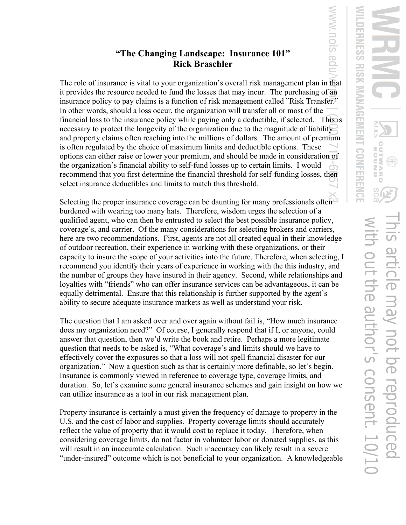## **"The Changing Landscape: Insurance 101" Rick Braschler**

The role of insurance is vital to your organization's overall risk management plan in that it provides the resource needed to fund the losses that may incur. The purchasing of an insurance policy to pay claims is a function of risk management called "Risk Transfer." In other words, should a loss occur, the organization will transfer all or most of the financial loss to the insurance policy while paying only a deductible, if selected. This is necessary to protect the longevity of the organization due to the magnitude of liability and property claims often reaching into the millions of dollars. The amount of premium is often regulated by the choice of maximum limits and deductible options. These options can either raise or lower your premium, and should be made in consideration of the organization's financial ability to self-fund losses up to certain limits. I would recommend that you first determine the financial threshold for self-funding losses, then select insurance deductibles and limits to match this threshold.

Selecting the proper insurance coverage can be daunting for many professionals often burdened with wearing too many hats. Therefore, wisdom urges the selection of a qualified agent, who can then be entrusted to select the best possible insurance policy, coverage's, and carrier. Of the many considerations for selecting brokers and carriers, here are two recommendations. First, agents are not all created equal in their knowledge of outdoor recreation, their experience in working with these organizations, or their capacity to insure the scope of your activities into the future. Therefore, when selecting, I recommend you identify their years of experience in working with the this industry, and the number of groups they have insured in their agency. Second, while relationships and loyalties with "friends" who can offer insurance services can be advantageous, it can be equally detrimental. Ensure that this relationship is further supported by the agent's ability to secure adequate insurance markets as well as understand your risk.

The question that I am asked over and over again without fail is, "How much insurance does my organization need?" Of course, I generally respond that if I, or anyone, could answer that question, then we'd write the book and retire. Perhaps a more legitimate question that needs to be asked is, "What coverage's and limits should we have to effectively cover the exposures so that a loss will not spell financial disaster for our organization." Now a question such as that is certainly more definable, so let's begin. Insurance is commonly viewed in reference to coverage type, coverage limits, and duration. So, let's examine some general insurance schemes and gain insight on how we can utilize insurance as a tool in our risk management plan.

Property insurance is certainly a must given the frequency of damage to property in the U.S. and the cost of labor and supplies. Property coverage limits should accurately reflect the value of property that it would cost to replace it today. Therefore, when considering coverage limits, do not factor in volunteer labor or donated supplies, as this will result in an inaccurate calculation. Such inaccuracy can likely result in a severe "under-insured" outcome which is not beneficial to your organization. A knowledgeable

WWW.NOIS

 $\bar{\mathbb{P}}$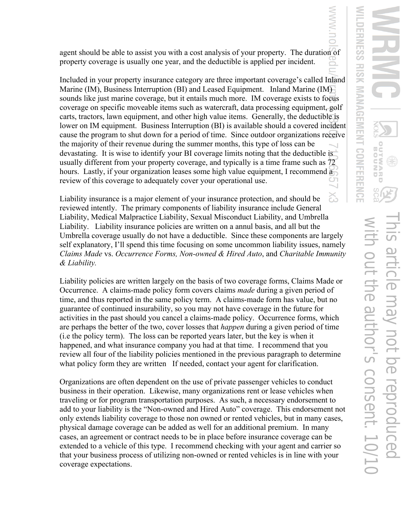agent should be able to assist you with a cost analysis of your property. The duration of property coverage is usually one year, and the deductible is applied per incident.

Included in your property insurance category are three important coverage's called Inland Marine (IM), Business Interruption (BI) and Leased Equipment. Inland Marine (IM) sounds like just marine coverage, but it entails much more. IM coverage exists to focus coverage on specific moveable items such as watercraft, data processing equipment, golf carts, tractors, lawn equipment, and other high value items. Generally, the deductible is lower on IM equipment. Business Interruption (BI) is available should a covered incident cause the program to shut down for a period of time. Since outdoor organizations receive the majority of their revenue during the summer months, this type of loss can be devastating. It is wise to identify your BI coverage limits noting that the deductible is usually different from your property coverage, and typically is a time frame such as 72 hours. Lastly, if your organization leases some high value equipment, I recommend a review of this coverage to adequately cover your operational use.

Liability insurance is a major element of your insurance protection, and should be reviewed intently. The primary components of liability insurance include General Liability, Medical Malpractice Liability, Sexual Misconduct Liability, and Umbrella Liability. Liability insurance policies are written on a annul basis, and all but the Umbrella coverage usually do not have a deductible. Since these components are largely self explanatory, I'll spend this time focusing on some uncommon liability issues, namely *Claims Made* vs. *Occurrence Forms, Non-owned & Hired Auto*, and *Charitable Immunity & Liability.*

Liability policies are written largely on the basis of two coverage forms, Claims Made or Occurrence. A claims-made policy form covers claims *made* during a given period of time, and thus reported in the same policy term. A claims-made form has value, but no guarantee of continued insurability, so you may not have coverage in the future for activities in the past should you cancel a claims-made policy. Occurrence forms, which are perhaps the better of the two, cover losses that *happen* during a given period of time (i.e the policy term). The loss can be reported years later, but the key is when it happened, and what insurance company you had at that time. I recommend that you review all four of the liability policies mentioned in the previous paragraph to determine what policy form they are written If needed, contact your agent for clarification.

Organizations are often dependent on the use of private passenger vehicles to conduct business in their operation. Likewise, many organizations rent or lease vehicles when traveling or for program transportation purposes. As such, a necessary endorsement to add to your liability is the "Non-owned and Hired Auto" coverage. This endorsement not only extends liability coverage to those non owned or rented vehicles, but in many cases, physical damage coverage can be added as well for an additional premium. In many cases, an agreement or contract needs to be in place before insurance coverage can be extended to a vehicle of this type. I recommend checking with your agent and carrier so that your business process of utilizing non-owned or rented vehicles is in line with your coverage expectations.